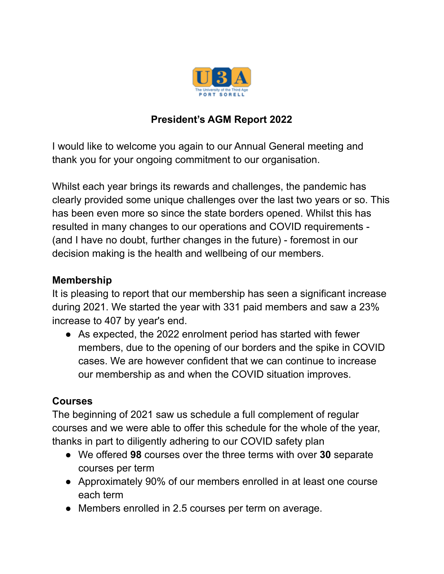

# **President's AGM Report 2022**

I would like to welcome you again to our Annual General meeting and thank you for your ongoing commitment to our organisation.

Whilst each year brings its rewards and challenges, the pandemic has clearly provided some unique challenges over the last two years or so. This has been even more so since the state borders opened. Whilst this has resulted in many changes to our operations and COVID requirements - (and I have no doubt, further changes in the future) - foremost in our decision making is the health and wellbeing of our members.

#### **Membership**

It is pleasing to report that our membership has seen a significant increase during 2021. We started the year with 331 paid members and saw a 23% increase to 407 by year's end.

● As expected, the 2022 enrolment period has started with fewer members, due to the opening of our borders and the spike in COVID cases. We are however confident that we can continue to increase our membership as and when the COVID situation improves.

### **Courses**

The beginning of 2021 saw us schedule a full complement of regular courses and we were able to offer this schedule for the whole of the year, thanks in part to diligently adhering to our COVID safety plan

- We offered **98** courses over the three terms with over **30** separate courses per term
- Approximately 90% of our members enrolled in at least one course each term
- Members enrolled in 2.5 courses per term on average.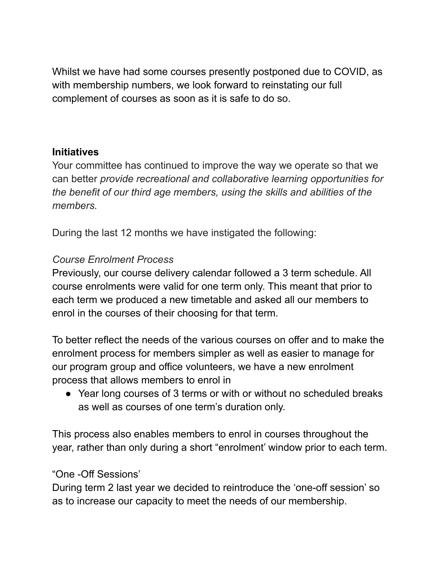Whilst we have had some courses presently postponed due to COVID, as with membership numbers, we look forward to reinstating our full complement of courses as soon as it is safe to do so.

#### **Initiatives**

Your committee has continued to improve the way we operate so that we can better *provide recreational and collaborative learning opportunities for the benefit of our third age members, using the skills and abilities of the members.*

During the last 12 months we have instigated the following:

### *Course Enrolment Process*

Previously, our course delivery calendar followed a 3 term schedule. All course enrolments were valid for one term only. This meant that prior to each term we produced a new timetable and asked all our members to enrol in the courses of their choosing for that term.

To better reflect the needs of the various courses on offer and to make the enrolment process for members simpler as well as easier to manage for our program group and office volunteers, we have a new enrolment process that allows members to enrol in

• Year long courses of 3 terms or with or without no scheduled breaks as well as courses of one term's duration only.

This process also enables members to enrol in courses throughout the year, rather than only during a short "enrolment' window prior to each term.

### "One -Off Sessions'

During term 2 last year we decided to reintroduce the 'one-off session' so as to increase our capacity to meet the needs of our membership.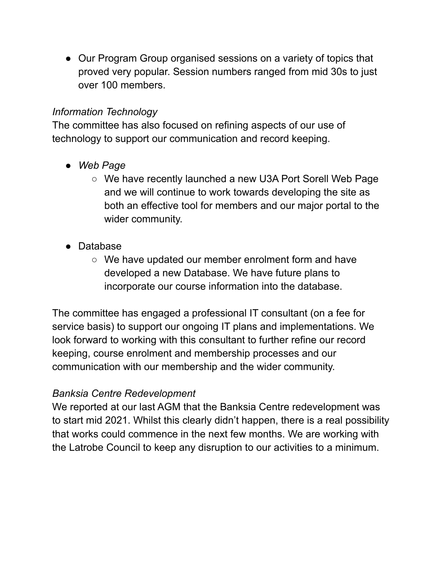• Our Program Group organised sessions on a variety of topics that proved very popular. Session numbers ranged from mid 30s to just over 100 members.

## *Information Technology*

The committee has also focused on refining aspects of our use of technology to support our communication and record keeping.

- *● Web Page*
	- *○* We have recently launched a new U3A Port Sorell Web Page and we will continue to work towards developing the site as both an effective tool for members and our major portal to the wider community.
- Database
	- We have updated our member enrolment form and have developed a new Database. We have future plans to incorporate our course information into the database.

The committee has engaged a professional IT consultant (on a fee for service basis) to support our ongoing IT plans and implementations. We look forward to working with this consultant to further refine our record keeping, course enrolment and membership processes and our communication with our membership and the wider community.

## *Banksia Centre Redevelopment*

We reported at our last AGM that the Banksia Centre redevelopment was to start mid 2021. Whilst this clearly didn't happen, there is a real possibility that works could commence in the next few months. We are working with the Latrobe Council to keep any disruption to our activities to a minimum.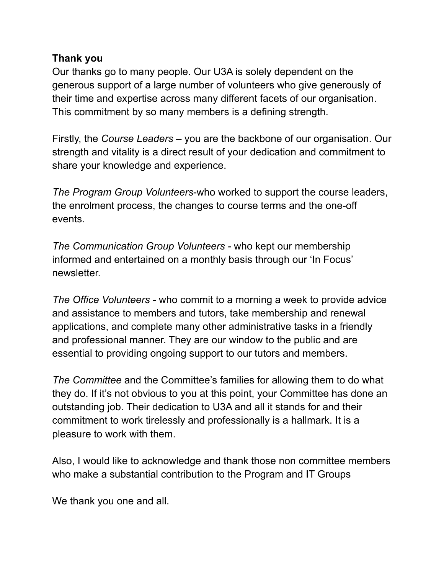#### **Thank you**

Our thanks go to many people. Our U3A is solely dependent on the generous support of a large number of volunteers who give generously of their time and expertise across many different facets of our organisation. This commitment by so many members is a defining strength.

Firstly, the *Course Leaders* – you are the backbone of our organisation. Our strength and vitality is a direct result of your dedication and commitment to share your knowledge and experience.

*The Program Group Volunteers*-who worked to support the course leaders, the enrolment process, the changes to course terms and the one-off events.

*The Communication Group Volunteers -* who kept our membership informed and entertained on a monthly basis through our 'In Focus' newsletter.

*The Office Volunteers* - who commit to a morning a week to provide advice and assistance to members and tutors, take membership and renewal applications, and complete many other administrative tasks in a friendly and professional manner. They are our window to the public and are essential to providing ongoing support to our tutors and members.

*The Committee* and the Committee's families for allowing them to do what they do. If it's not obvious to you at this point, your Committee has done an outstanding job. Their dedication to U3A and all it stands for and their commitment to work tirelessly and professionally is a hallmark. It is a pleasure to work with them.

Also, I would like to acknowledge and thank those non committee members who make a substantial contribution to the Program and IT Groups

We thank you one and all.